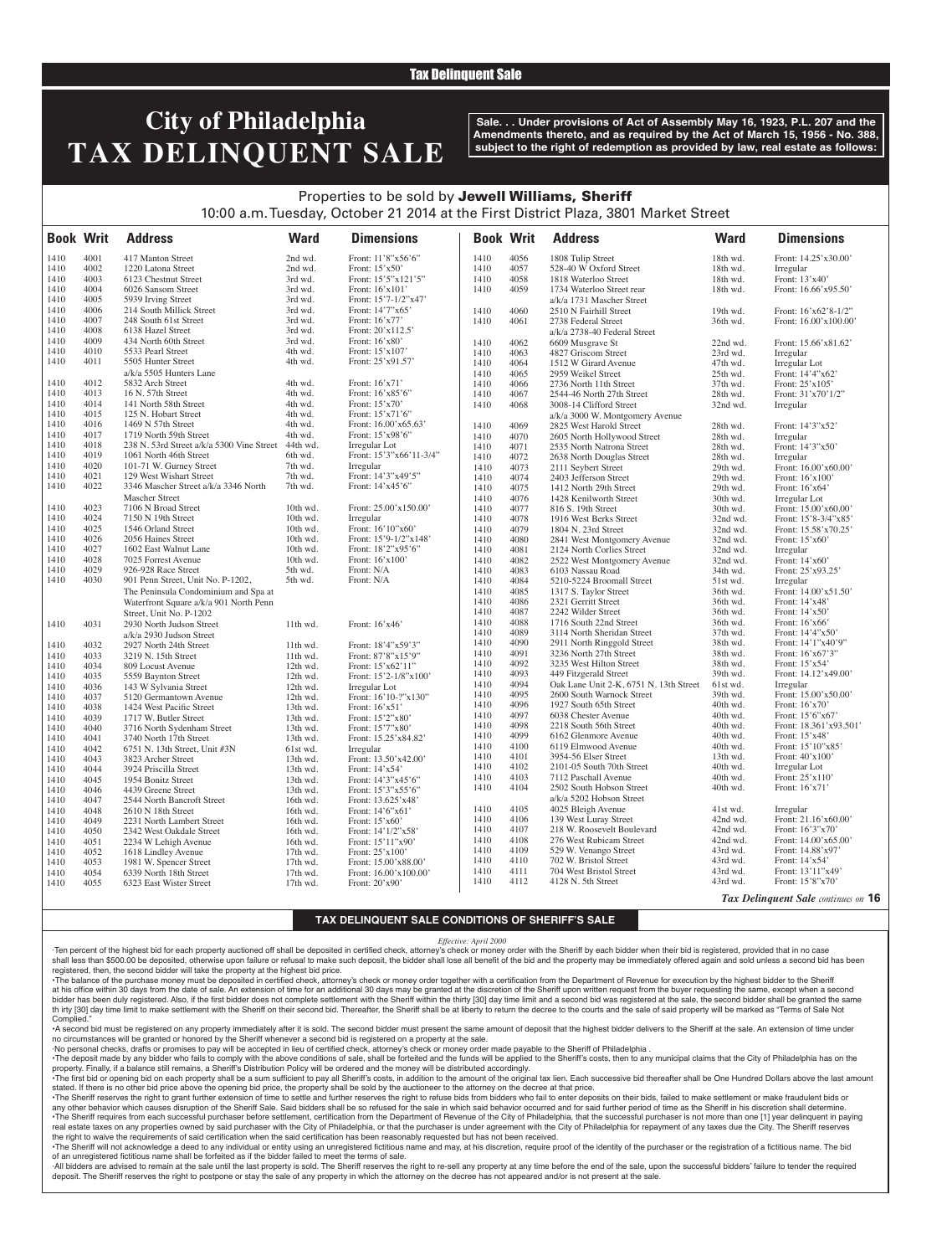### Tax Delinquent Sale

# **City of Philadelphia TAX DELINQUENT SALE**

**Sale. . . Under provisions of Act of Assembly May 16, 1923, P.L. 207 and the Amendments thereto, and as required by the Act of March 15, 1956 - No. 388, subject to the right of redemption as provided by law, real estate as follows:**

## Properties to be sold by Jewell Williams, Sheriff 10:00 a.m. Tuesday, October 21 2014 at the First District Plaza, 3801 Market Street

| <b>Book Writ</b> |      | <b>Address</b>                                      | <b>Ward</b> | <b>Dimensions</b>          | <b>Book Writ</b> |              | <b>Address</b>                              | <b>Ward</b>          | <b>Dimensions</b>                   |
|------------------|------|-----------------------------------------------------|-------------|----------------------------|------------------|--------------|---------------------------------------------|----------------------|-------------------------------------|
| 1410             | 4001 | 417 Manton Street                                   | 2nd wd.     | Front: 11'8"x56'6"         | 1410             | 4056         | 1808 Tulip Street                           | 18th wd.             | Front: 14.25'x30.00'                |
| 1410             | 4002 | 1220 Latona Street                                  | 2nd wd.     | Front: $15'x50'$           | 1410             | 4057         | 528-40 W Oxford Street                      | 18th wd.             | Irregular                           |
| 1410             | 4003 | 6123 Chestnut Street                                | 3rd wd.     | Front: 15'5"x121'5"        | 1410             | 4058         | 1818 Waterloo Street                        | 18th wd.             | Front: 13'x40'                      |
| 1410             | 4004 | 6026 Sansom Street                                  | 3rd wd.     | Front: 16'x101'            | 1410             | 4059         | 1734 Waterloo Street rear                   | 18th wd.             | Front: 16.66'x95.50'                |
| 1410             | 4005 | 5939 Irving Street                                  | 3rd wd.     | Front: 15'7-1/2"x47'       |                  |              | a/k/a 1731 Mascher Street                   |                      |                                     |
| 1410             | 4006 | 214 South Millick Street                            | 3rd wd.     | Front: 14'7"x65'           | 1410             | 4060         | 2510 N Fairhill Street                      | 19th wd.             | Front: 16'x62'8-1/2"                |
| 1410             | 4007 | 248 South 61st Street                               | 3rd wd.     | Front: $16'x77'$           | 1410             | 4061         | 2738 Federal Street                         | 36th wd.             | Front: 16.00'x100.00'               |
| 1410             | 4008 | 6138 Hazel Street                                   | 3rd wd.     | Front: 20'x112.5'          |                  |              | a/k/a 2738-40 Federal Street                |                      |                                     |
| 1410             | 4009 | 434 North 60th Street                               | 3rd wd.     | Front: 16'x80'             | 1410             | 4062         | 6609 Musgrave St                            | 22nd wd.             | Front: 15.66'x81.62'                |
| 1410             | 4010 | 5533 Pearl Street                                   | 4th wd.     | Front: 15'x107'            | 1410             | 4063         | 4827 Griscom Street                         | 23rd wd.             | Irregular                           |
| 1410             | 4011 | 5505 Hunter Street                                  | 4th wd.     | Front: 25'x91.57'          | 1410             | 4064         | 1512 W Girard Avenue                        | 47th wd.             | Irregular Lot                       |
|                  |      | a/k/a 5505 Hunters Lane                             |             |                            | 1410             | 4065         | 2959 Weikel Street                          | 25th wd.             | Front: 14'4"x62'                    |
| 1410             | 4012 | 5832 Arch Street                                    | 4th wd.     | Front: 16'x71'             | 1410             | 4066         | 2736 North 11th Street                      | 37th wd.             | Front: 25'x105'                     |
| 1410             | 4013 | 16 N. 57th Street                                   | 4th wd.     | Front: 16'x85'6"           | 1410             | 4067         | 2544-46 North 27th Street                   | 28th wd.             | Front: 31'x70'1/2"                  |
| 1410             | 4014 | 141 North 58th Street                               | 4th wd.     | Front: $15'x70'$           | 1410             | 4068         | 3008-14 Clifford Street                     | 32nd wd.             | Irregular                           |
| 1410             | 4015 | 125 N. Hobart Street                                | 4th wd.     | Front: 15'x71'6"           |                  |              | a/k/a 3000 W. Montgomery Avenue             |                      |                                     |
| 1410             | 4016 | 1469 N 57th Street                                  | 4th wd.     | Front: 16.00'x65.63'       | 1410             | 4069         | 2825 West Harold Street                     | 28th wd.             | Front: 14'3"x52'                    |
| 1410             | 4017 | 1719 North 59th Street                              | 4th wd.     | Front: 15'x98'6"           | 1410             | 4070         | 2605 North Hollywood Street                 | 28th wd.             | Irregular                           |
| 1410             | 4018 | 238 N. 53rd Street a/k/a 5300 Vine Street           | 44th wd.    | Irregular Lot              | 1410             | 4071         | 2535 North Natrona Street                   | 28th wd.             | Front: 14'3"x50'                    |
| 1410             | 4019 | 1061 North 46th Street                              | 6th wd.     | Front: 15'3"x66'11-3/4"    | 1410             | 4072         | 2638 North Douglas Street                   | 28th wd.             | Irregular                           |
| 1410             | 4020 | 101-71 W. Gurney Street                             | 7th wd.     | Irregular                  | 1410             | 4073         | 2111 Seybert Street                         | 29th wd.             | Front: 16.00'x60.00'                |
| 1410             | 4021 | 129 West Wishart Street                             | 7th wd.     | Front: 14'3"x49'5"         | 1410             | 4074         | 2403 Jefferson Street                       | 29th wd.             | Front: 16'x100'                     |
| 1410             | 4022 | 3346 Mascher Street a/k/a 3346 North                | 7th wd.     | Front: 14'x45'6"           | 1410             | 4075         | 1412 North 29th Street                      | 29th wd.             | Front: 16'x64'                      |
|                  |      | <b>Mascher Street</b>                               |             |                            | 1410             | 4076         | 1428 Kenilworth Street                      | 30th wd.             | Irregular Lot                       |
| 1410             | 4023 | 7106 N Broad Street                                 | 10th wd.    | Front: 25.00'x150.00'      | 1410             | 4077         | 816 S. 19th Street                          | 30th wd.             | Front: 15.00'x60.00'                |
| 1410             | 4024 | 7150 N 19th Street                                  | 10th wd.    | Irregular                  | 1410             | 4078         | 1916 West Berks Street                      | 32nd wd.             | Front: 15'8-3/4"x85'                |
| 1410             | 4025 | 1546 Orland Street                                  | 10th wd.    | Front: 16'10"x60"          | 1410             | 4079         | 1804 N. 23rd Street                         | 32nd wd.             | Front: 15.58'x70.25'                |
| 1410             | 4026 | 2056 Haines Street                                  | 10th wd.    | Front: 15'9-1/2"x148'      | 1410             | 4080         | 2841 West Montgomery Avenue                 | 32nd wd.             | Front: 15'x60'                      |
| 1410             | 4027 | 1602 East Walnut Lane                               | 10th wd.    | Front: 18'2"x95'6"         | 1410             | 4081         | 2124 North Corlies Street                   | 32nd wd.             | Irregular                           |
| 1410             | 4028 | 7025 Forrest Avenue                                 | 10th wd.    | Front: 16'x100'            | 1410             | 4082         | 2522 West Montgomery Avenue                 | 32nd wd.             | Front: $14'x60'$                    |
| 1410             | 4029 | 926-928 Race Street                                 | 5th wd.     | Front: N/A                 | 1410             | 4083         | 6103 Nassau Road                            | 34th wd.             | Front: 25'x93.25'                   |
| 1410             | 4030 | 901 Penn Street, Unit No. P-1202,                   | 5th wd.     | Front: N/A                 | 1410             | 4084         | 5210-5224 Broomall Street                   | 51st wd.             | Irregular                           |
|                  |      | The Peninsula Condominium and Spa at                |             |                            | 1410             | 4085         | 1317 S. Taylor Street                       | 36th wd.             | Front: 14.00'x51.50'                |
|                  |      | Waterfront Square a/k/a 901 North Penn              |             |                            | 1410             | 4086         | 2321 Gerritt Street                         | 36th wd.             | Front: 14'x48'                      |
|                  |      |                                                     |             |                            | 1410             | 4087         | 2242 Wilder Street                          | 36th wd.             | Front: 14'x50'                      |
| 1410             | 4031 | Street, Unit No. P-1202<br>2930 North Judson Street | 11th wd.    | Front: $16'x46'$           | 1410             | 4088         | 1716 South 22nd Street                      | 36th wd.             | Front: 16'x66'                      |
|                  |      |                                                     |             |                            | 1410             | 4089         | 3114 North Sheridan Street                  | 37th wd.             | Front: 14'4"x50'                    |
|                  |      | a/k/a 2930 Judson Street                            |             |                            | 1410             | 4090         | 2911 North Ringgold Street                  | 38th wd.             | Front: 14'1"x40'9"                  |
| 1410             | 4032 | 2927 North 24th Street                              | 11th wd.    | Front: 18'4"x59'3"         | 1410             | 4091         | 3236 North 27th Street                      | 38th wd.             | Front: 16'x67'3"                    |
| 1410             | 4033 | 3219 N. 15th Street                                 | 11th wd.    | Front: 87'8"x15'9"         | 1410             | 4092         | 3235 West Hilton Street                     | 38th wd.             | Front: 15'x54'                      |
| 1410             | 4034 | 809 Locust Avenue                                   | 12th wd.    | Front: 15'x62'11"          | 1410             | 4093         | 449 Fitzgerald Street                       | 39th wd.             | Front: 14.12'x49.00'                |
| 1410             | 4035 | 5559 Baynton Street                                 | 12th wd.    | Front: $15'2 - 1/8''x100'$ | 1410             | 4094         | Oak Lane Unit 2-K, 6751 N. 13th Street      | 61st wd.             | Irregular                           |
| 1410             | 4036 | 143 W Sylvania Street                               | 12th wd.    | Irregular Lot              | 1410             | 4095         | 2600 South Warnock Street                   | 39th wd.             | Front: 15.00'x50.00'                |
| 1410             | 4037 | 5120 Germantown Avenue                              | 12th wd.    | Front: 16'10-?"x130"       | 1410             | 4096         | 1927 South 65th Street                      | 40th wd.             | Front: 16'x70'                      |
| 1410             | 4038 | 1424 West Pacific Street                            | 13th wd.    | Front: 16'x51'             | 1410             | 4097         | 6038 Chester Avenue                         | 40th wd.             | Front: 15'6"x67'                    |
| 1410             | 4039 | 1717 W. Butler Street                               | 13th wd.    | Front: 15'2"x80'           | 1410             | 4098         | 2218 South 56th Street                      | 40th wd.             | Front: 18.361'x93.501'              |
| 1410             | 4040 | 3716 North Sydenham Street                          | 13th wd.    | Front: 15'7"x80'           | 1410             | 4099         | 6162 Glenmore Avenue                        | 40th wd.             | Front: 15'x48'                      |
| 1410             | 4041 | 3740 North 17th Street                              | 13th wd.    | Front: 15.25'x84.82'       | 1410             | 4100         | 6119 Elmwood Avenue                         | 40th wd.             | Front: 15'10"x85'                   |
| 1410             | 4042 | 6751 N. 13th Street, Unit #3N                       | 61st wd.    | Irregular                  | 1410             | 4101         | 3954-56 Elser Street                        | 13th wd.             | Front: 40'x100'                     |
| 1410             | 4043 | 3823 Archer Street                                  | 13th wd.    | Front: 13.50'x42.00'       | 1410             | 4102         | 2101-05 South 70th Street                   | 40th wd.             | Irregular Lot                       |
| 1410             | 4044 | 3924 Priscilla Street                               | $13th$ wd.  | Front: 14'x54'             | 1410             | 4103         | 7112 Paschall Avenue                        | 40th wd.             | Front: 25'x110'                     |
| 1410             | 4045 | 1954 Bonitz Street                                  | 13th wd.    | Front: 14'3"x45'6"         | 1410             | 4104         | 2502 South Hobson Street                    | 40th wd.             | Front: 16'x71'                      |
| 1410             | 4046 | 4439 Greene Street                                  | 13th wd.    | Front: 15'3"x55'6"         |                  |              | a/k/a 5202 Hobson Street                    |                      |                                     |
| 1410             | 4047 | 2544 North Bancroft Street                          | 16th wd.    | Front: 13.625'x48'         |                  |              |                                             |                      |                                     |
| 1410             | 4048 | 2610 N 18th Street                                  | 16th wd.    | Front: 14'6"x61'           | 1410<br>1410     | 4105<br>4106 | 4025 Bleigh Avenue<br>139 West Luray Street | 41st wd.<br>42nd wd. | Irregular<br>Front: 21.16'x60.00'   |
| 1410             | 4049 | 2231 North Lambert Street                           | 16th wd.    | Front: 15'x60'             |                  | 4107         | 218 W. Roosevelt Boulevard                  |                      | Front: 16'3"x70'                    |
| 1410             | 4050 | 2342 West Oakdale Street                            | 16th wd.    | Front: 14'1/2"x58'         | 1410             |              | 276 West Rubicam Street                     | 42nd wd.<br>42nd wd. | Front: 14.00'x65.00'                |
| 1410             | 4051 | 2234 W Lehigh Avenue                                | 16th wd.    | Front: 15'11"x90'          | 1410             | 4108         | 529 W. Venango Street                       |                      |                                     |
| 1410             | 4052 | 1618 Lindley Avenue                                 | $17th$ wd.  | Front: 25'x100'            | 1410             | 4109         |                                             | 43rd wd.             | Front: 14.88'x97'                   |
| 1410             | 4053 | 1981 W. Spencer Street                              | $17th$ wd.  | Front: 15.00'x88.00'       | 1410             | 4110         | 702 W. Bristol Street                       | 43rd wd.             | Front: 14'x54'                      |
| 1410             | 4054 | 6339 North 18th Street                              | $17th$ wd.  | Front: 16.00'x100.00'      | 1410             | 4111         | 704 West Bristol Street                     | 43rd wd.             | Front: 13'11"x49'                   |
| 1410             | 4055 | 6323 East Wister Street                             | 17th wd.    | Front: 20'x90'             | 1410             | 4112         | 4128 N. 5th Street                          | 43rd wd.             | Front: 15'8"x70'                    |
|                  |      |                                                     |             |                            |                  |              |                                             |                      | Tax Delinquent Sale continues on 16 |

### **TAX DELINQUENT SALE CONDITIONS OF SHERIFF'S SALE**

#### *Effective: April 2000*

·Ten percent of the highest bid for each property auctioned off shall be deposited in certified check, attorney's check or money order with the Sheriff by each bidder when their bid is registered, provided that in no case shall less than \$500.00 be deposited, otherwise upon failure or refusal to make such deposit, the bidder shall lose all benefit of the bid and the property may be immediately offered again and sold unless a second bid has registered, then, the second bidder will take the property at the highest bid price.

•The balance of the purchase money must be deposited in certified check, attorney's check or money order together with a certification from the Department of Revenue for execution by the highest bidder to the Sheriff at his office within 30 days from the date of sale. An extension of time for an additional 30 days may be granted at the discretion of the Sheriff upon written request from the buyer requesting the same, except when a seco bidder has been duly registered. Also, if the first bidder does not complete settlement with the Sheriff within the thirty [30] day time limit and a second bid was registered at the sale, the second bidder shall be granted th irty [30] day time limit to make settlement with the Sheriff on their second bid. Thereafter, the Sheriff shall be at liberty to return the decree to the courts and the sale of said property will be marked as "Terms of Complied.

•A second bid must be registered on any property immediately after it is sold. The second bidder must present the same amount of deposit that the highest bidder delivers to the Sheriff at the sale. An extension of time under no circumstances will be granted or honored by the Sheriff whenever a second bid is registered on a property at the sale.

·No personal checks, drafts or promises to pay will be accepted in lieu of certified check, attorney's check or money order made payable to the Sheriff of Philadelphia . . The deposit made by any bidder who fails to comply with the above conditions of sale, shall be forteited and the funds will be applied to the Sheriff's costs, then to any municipal claims that the City of Philadelphia ha

property. Finally, if a balance still remains, a Sheriff's Distribution Policy will be ordered and the money will be distributed accordingly. The first bid or opening bid on each property shall be a sum sufficient to pay all Sheriff's costs, in addition to the amount of the original tax lien. Each successive bid thereafter shall be One Hundred Dollars above the

stated. If there is no other bid price above the opening bid price, the property shall be sold by the auctioneer to the attorney on the decree at that price. ·The Sheriff reserves the right to grant further extension of time to settle and further reserves the right to refuse bids from bidders who fail to enter deposits on their bids, failed to make settlement or make fraudulent any other behavior which causes disruption of the Sheriff Sale. Said bidders shall be so refused for the sale in which said behavior occurred and for said further period of time as the Sheriff in his discretion shall deter . The Sheriff requires from each successful purchaser before settlement, certification from the Department of Revenue of the City of Philadelphia, that the successful purchaser is not more than one [1] year delinquent in p real estate taxes on any properties owned by said purchaser with the City of Philadelphia, or that the purchaser is under agreement with the City of Philadelphia for repayment of any taxes due the City. The Sheriff reserves the right to waive the requirements of said certification when the said certification has been reasonably requested but has not been received.

·The Sheriff will not acknowledge a deed to any individual or entity using an unregistered fictitious name and may, at his discretion, require proof of the identity of the purchaser or the registration of a fictitious name of an unregistered fictitious name shall be forfeited as if the bidder failed to meet the terms of sale.

All bidders are advised to remain at the sale until the last property is sold. The Sheriff reserves the right to re-sell any property at any time before the end of the sale, upon the successful bidders' failure to tender t deposit. The Sheriff reserves the right to postpone or stay the sale of any property in which the attorney on the decree has not appeared and/or is not present at the sale.